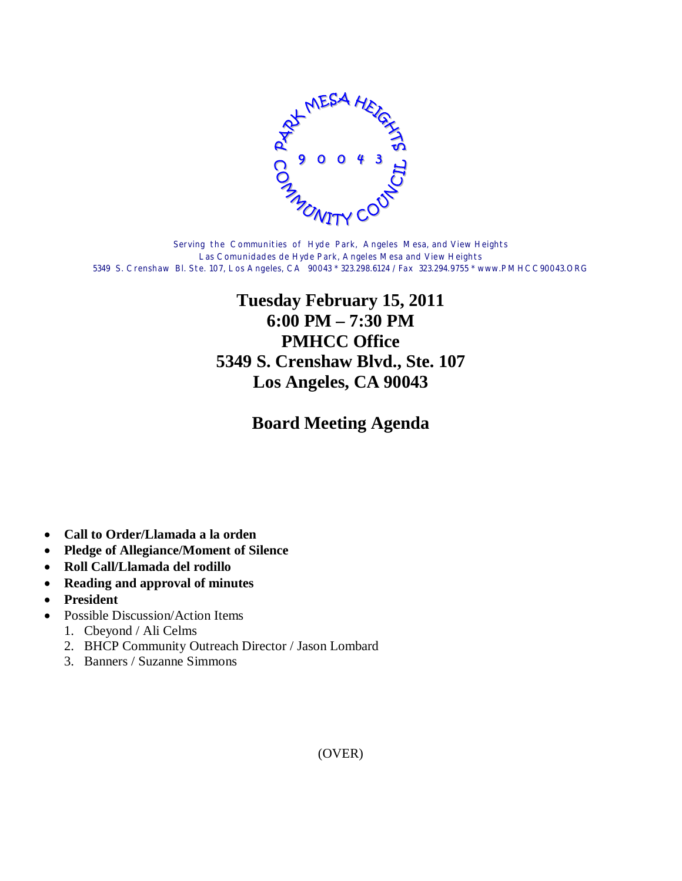

Serving the Communities of Hyde Park, Angeles Mesa, and View Heights Las Comunidades de Hyde Park, Angeles Mesa and View Heights 5349 S. Crenshaw Bl. Ste. 107, Los Angeles, CA 90043 \* 323.298.6124 / Fax 323.294.9755 \* www.PMHCC90043.ORG

## **Tuesday February 15, 2011 6:00 PM – 7:30 PM PMHCC Office 5349 S. Crenshaw Blvd., Ste. 107 Los Angeles, CA 90043**

**Board Meeting Agenda**

- **Call to Order/Llamada a la orden**
- **Pledge of Allegiance/Moment of Silence**
- **Roll Call/Llamada del rodillo**
- **Reading and approval of minutes**
- **President**
- Possible Discussion/Action Items
	- 1. Cbeyond / Ali Celms
	- 2. BHCP Community Outreach Director / Jason Lombard
	- 3. Banners / Suzanne Simmons

(OVER)